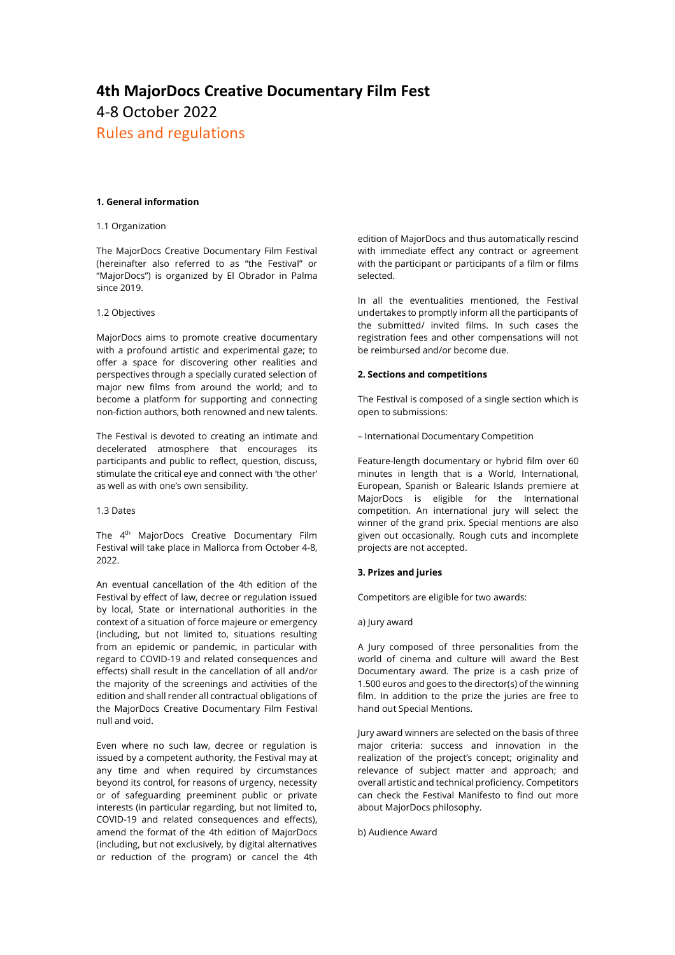# **4th MajorDocs Creative Documentary Film Fest** 4-8 October 2022 Rules and regulations

# **1. General information**

## 1.1 Organization

The MajorDocs Creative Documentary Film Festival (hereinafter also referred to as "the Festival" or "MajorDocs") is organized by El Obrador in Palma since 2019.

## 1.2 Objectives

MajorDocs aims to promote creative documentary with a profound artistic and experimental gaze; to offer a space for discovering other realities and perspectives through a specially curated selection of major new films from around the world; and to become a platform for supporting and connecting non-fiction authors, both renowned and new talents.

The Festival is devoted to creating an intimate and decelerated atmosphere that encourages its participants and public to reflect, question, discuss, stimulate the critical eye and connect with 'the other' as well as with one's own sensibility.

## 1.3 Dates

The 4<sup>th</sup> MajorDocs Creative Documentary Film Festival will take place in Mallorca from October 4-8, 2022.

An eventual cancellation of the 4th edition of the Festival by effect of law, decree or regulation issued by local, State or international authorities in the context of a situation of force majeure or emergency (including, but not limited to, situations resulting from an epidemic or pandemic, in particular with regard to COVID-19 and related consequences and effects) shall result in the cancellation of all and/or the majority of the screenings and activities of the edition and shall render all contractual obligations of the MajorDocs Creative Documentary Film Festival null and void.

Even where no such law, decree or regulation is issued by a competent authority, the Festival may at any time and when required by circumstances beyond its control, for reasons of urgency, necessity or of safeguarding preeminent public or private interests (in particular regarding, but not limited to, COVID-19 and related consequences and effects), amend the format of the 4th edition of MajorDocs (including, but not exclusively, by digital alternatives or reduction of the program) or cancel the 4th edition of MajorDocs and thus automatically rescind with immediate effect any contract or agreement with the participant or participants of a film or films selected.

In all the eventualities mentioned, the Festival undertakes to promptly inform all the participants of the submitted/ invited films. In such cases the registration fees and other compensations will not be reimbursed and/or become due.

## **2. Sections and competitions**

The Festival is composed of a single section which is open to submissions:

– International Documentary Competition

Feature-length documentary or hybrid film over 60 minutes in length that is a World, International, European, Spanish or Balearic Islands premiere at MajorDocs is eligible for the International competition. An international jury will select the winner of the grand prix. Special mentions are also given out occasionally. Rough cuts and incomplete projects are not accepted.

# **3. Prizes and juries**

Competitors are eligible for two awards:

a) Jury award

A Jury composed of three personalities from the world of cinema and culture will award the Best Documentary award. The prize is a cash prize of 1.500 euros and goes to the director(s) of the winning film. In addition to the prize the juries are free to hand out Special Mentions.

Jury award winners are selected on the basis of three major criteria: success and innovation in the realization of the project's concept; originality and relevance of subject matter and approach; and overall artistic and technical proficiency. Competitors can check the Festival Manifesto to find out more about MajorDocs philosophy.

b) Audience Award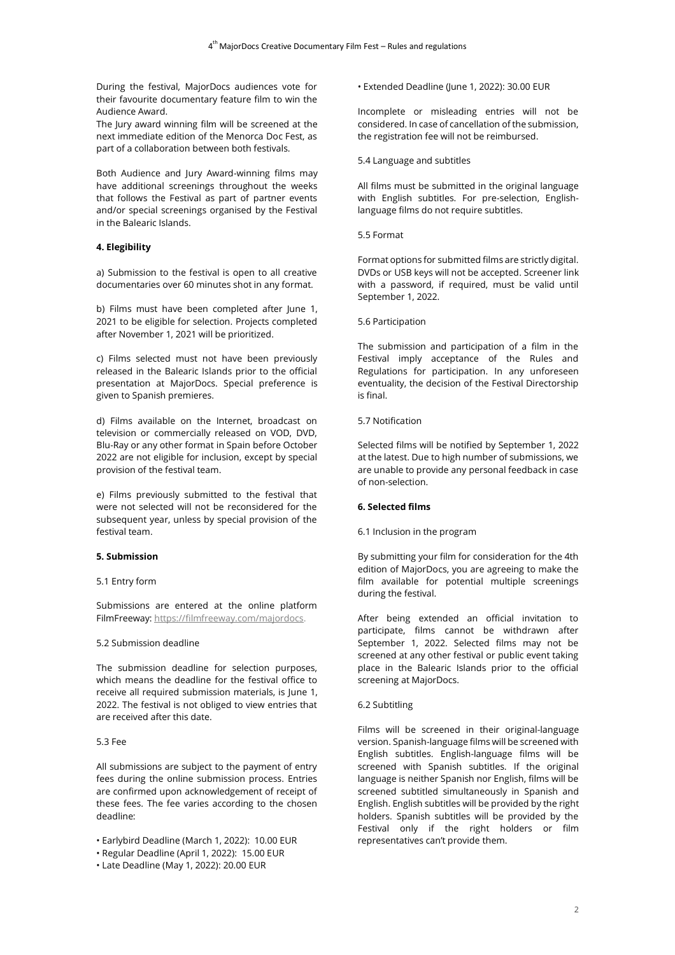During the festival, MajorDocs audiences vote for their favourite documentary feature film to win the Audience Award.

The Jury award winning film will be screened at the next immediate edition of the Menorca Doc Fest, as part of a collaboration between both festivals.

Both Audience and Jury Award-winning films may have additional screenings throughout the weeks that follows the Festival as part of partner events and/or special screenings organised by the Festival in the Balearic Islands.

# **4. Elegibility**

a) Submission to the festival is open to all creative documentaries over 60 minutes shot in any format.

b) Films must have been completed after June 1, 2021 to be eligible for selection. Projects completed after November 1, 2021 will be prioritized.

c) Films selected must not have been previously released in the Balearic Islands prior to the official presentation at MajorDocs. Special preference is given to Spanish premieres.

d) Films available on the Internet, broadcast on television or commercially released on VOD, DVD, Blu-Ray or any other format in Spain before October 2022 are not eligible for inclusion, except by special provision of the festival team.

e) Films previously submitted to the festival that were not selected will not be reconsidered for the subsequent year, unless by special provision of the festival team.

## **5. Submission**

# 5.1 Entry form

Submissions are entered at the online platform FilmFreeway: [https://filmfreeway.com/majordocs.](https://filmfreeway.com/majordocs)

# 5.2 Submission deadline

The submission deadline for selection purposes, which means the deadline for the festival office to receive all required submission materials, is June 1, 2022. The festival is not obliged to view entries that are received after this date.

# 5.3 Fee

All submissions are subject to the payment of entry fees during the online submission process. Entries are confirmed upon acknowledgement of receipt of these fees. The fee varies according to the chosen deadline:

• Earlybird Deadline (March 1, 2022): 10.00 EUR

• Extended Deadline (June 1, 2022): 30.00 EUR

Incomplete or misleading entries will not be considered. In case of cancellation of the submission, the registration fee will not be reimbursed.

# 5.4 Language and subtitles

All films must be submitted in the original language with English subtitles. For pre-selection, Englishlanguage films do not require subtitles.

# 5.5 Format

Format options for submitted films are strictly digital. DVDs or USB keys will not be accepted. Screener link with a password, if required, must be valid until September 1, 2022.

# 5.6 Participation

The submission and participation of a film in the Festival imply acceptance of the Rules and Regulations for participation. In any unforeseen eventuality, the decision of the Festival Directorship is final.

## 5.7 Notification

Selected films will be notified by September 1, 2022 at the latest. Due to high number of submissions, we are unable to provide any personal feedback in case of non-selection.

# **6. Selected films**

## 6.1 Inclusion in the program

By submitting your film for consideration for the 4th edition of MajorDocs, you are agreeing to make the film available for potential multiple screenings during the festival.

After being extended an official invitation to participate, films cannot be withdrawn after September 1, 2022. Selected films may not be screened at any other festival or public event taking place in the Balearic Islands prior to the official screening at MajorDocs.

## 6.2 Subtitling

Films will be screened in their original-language version. Spanish-language films will be screened with English subtitles. English-language films will be screened with Spanish subtitles. If the original language is neither Spanish nor English, films will be screened subtitled simultaneously in Spanish and English. English subtitles will be provided by the right holders. Spanish subtitles will be provided by the Festival only if the right holders or film representatives can't provide them.

<sup>•</sup> Regular Deadline (April 1, 2022): 15.00 EUR

<sup>•</sup> Late Deadline (May 1, 2022): 20.00 EUR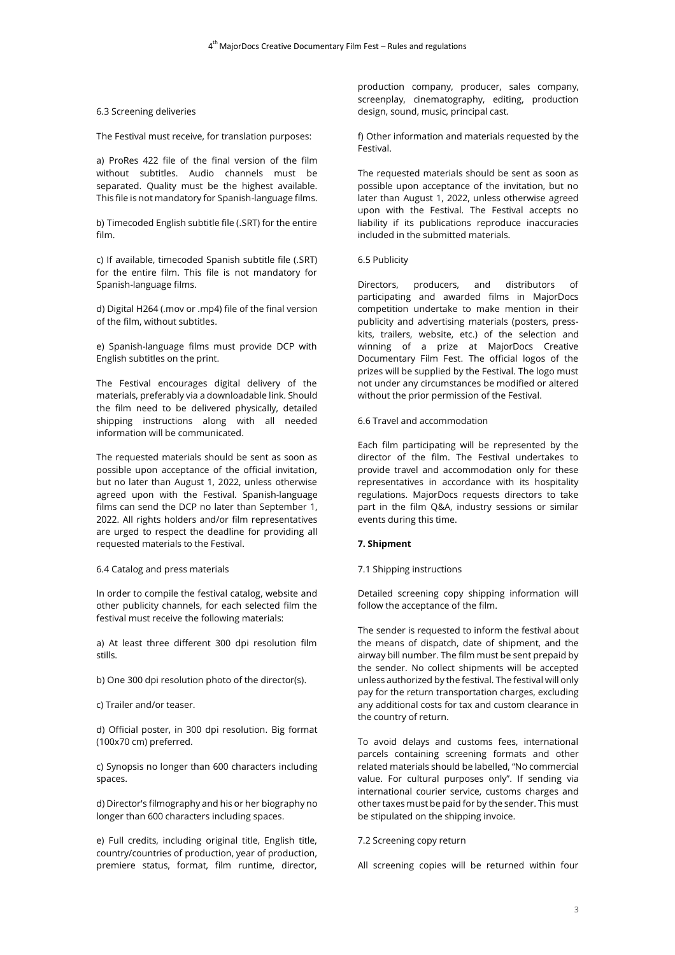## 6.3 Screening deliveries

The Festival must receive, for translation purposes:

a) ProRes 422 file of the final version of the film without subtitles. Audio channels must be separated. Quality must be the highest available. This file is not mandatory for Spanish-language films.

b) Timecoded English subtitle file (.SRT) for the entire film.

c) If available, timecoded Spanish subtitle file (.SRT) for the entire film. This file is not mandatory for Spanish-language films.

d) Digital H264 (.mov or .mp4) file of the final version of the film, without subtitles.

e) Spanish-language films must provide DCP with English subtitles on the print.

The Festival encourages digital delivery of the materials, preferably via a downloadable link. Should the film need to be delivered physically, detailed shipping instructions along with all needed information will be communicated.

The requested materials should be sent as soon as possible upon acceptance of the official invitation, but no later than August 1, 2022, unless otherwise agreed upon with the Festival. Spanish-language films can send the DCP no later than September 1, 2022. All rights holders and/or film representatives are urged to respect the deadline for providing all requested materials to the Festival.

## 6.4 Catalog and press materials

In order to compile the festival catalog, website and other publicity channels, for each selected film the festival must receive the following materials:

a) At least three different 300 dpi resolution film stills.

b) One 300 dpi resolution photo of the director(s).

c) Trailer and/or teaser.

d) Official poster, in 300 dpi resolution. Big format (100x70 cm) preferred.

c) Synopsis no longer than 600 characters including spaces.

d) Director's filmography and his or her biography no longer than 600 characters including spaces.

e) Full credits, including original title, English title, country/countries of production, year of production, premiere status, format, film runtime, director,

production company, producer, sales company, screenplay, cinematography, editing, production design, sound, music, principal cast.

f) Other information and materials requested by the Festival.

The requested materials should be sent as soon as possible upon acceptance of the invitation, but no later than August 1, 2022, unless otherwise agreed upon with the Festival. The Festival accepts no liability if its publications reproduce inaccuracies included in the submitted materials.

#### 6.5 Publicity

Directors, producers, and distributors of participating and awarded films in MajorDocs competition undertake to make mention in their publicity and advertising materials (posters, presskits, trailers, website, etc.) of the selection and winning of a prize at MajorDocs Creative Documentary Film Fest. The official logos of the prizes will be supplied by the Festival. The logo must not under any circumstances be modified or altered without the prior permission of the Festival.

#### 6.6 Travel and accommodation

Each film participating will be represented by the director of the film. The Festival undertakes to provide travel and accommodation only for these representatives in accordance with its hospitality regulations. MajorDocs requests directors to take part in the film Q&A, industry sessions or similar events during this time.

## **7. Shipment**

7.1 Shipping instructions

Detailed screening copy shipping information will follow the acceptance of the film.

The sender is requested to inform the festival about the means of dispatch, date of shipment, and the airway bill number. The film must be sent prepaid by the sender. No collect shipments will be accepted unless authorized by the festival. The festival will only pay for the return transportation charges, excluding any additional costs for tax and custom clearance in the country of return.

To avoid delays and customs fees, international parcels containing screening formats and other related materials should be labelled, "No commercial value. For cultural purposes only". If sending via international courier service, customs charges and other taxes must be paid for by the sender. This must be stipulated on the shipping invoice.

## 7.2 Screening copy return

All screening copies will be returned within four